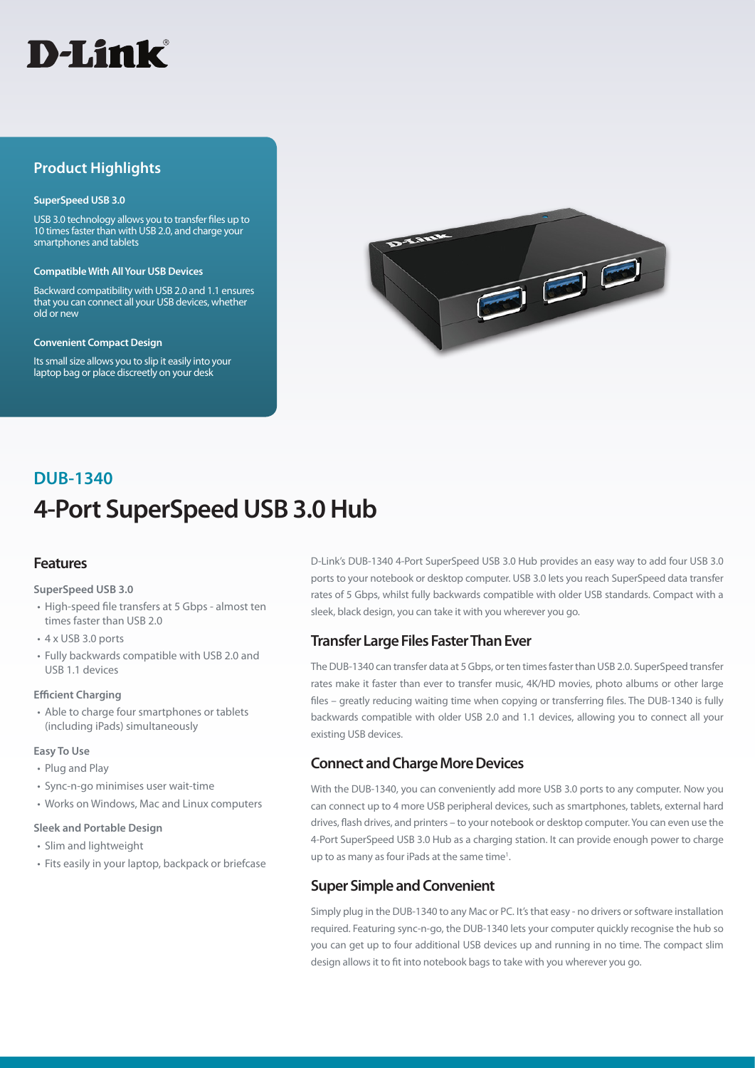

# **Product Highlights**

#### **SuperSpeed USB 3.0**

USB 3.0 technology allows you to transfer files up to 10 times faster than with USB 2.0, and charge your smartphones and tablets

#### **Compatible With All Your USB Devices**

Backward compatibility with USB 2.0 and 1.1 ensures that you can connect all your USB devices, whether old or new

#### **Convenient Compact Design**

Its small size allows you to slip it easily into your laptop bag or place discreetly on your desk



# **4-Port SuperSpeed USB 3.0 Hub DUB-1340**

# **Features**

#### **SuperSpeed USB 3.0**

- High-speed file transfers at 5 Gbps almost ten times faster than USB 2.0
- 4 x USB 3.0 ports
- Fully backwards compatible with USB 2.0 and USB 1.1 devices

### **Efficient Charging**

• Able to charge four smartphones or tablets (including iPads) simultaneously

#### **Easy To Use**

- Plug and Play
- Sync-n-go minimises user wait-time
- Works on Windows, Mac and Linux computers

#### **Sleek and Portable Design**

- Slim and lightweight
- Fits easily in your laptop, backpack or briefcase

D-Link's DUB-1340 4-Port SuperSpeed USB 3.0 Hub provides an easy way to add four USB 3.0 ports to your notebook or desktop computer. USB 3.0 lets you reach SuperSpeed data transfer rates of 5 Gbps, whilst fully backwards compatible with older USB standards. Compact with a sleek, black design, you can take it with you wherever you go.

# **Transfer Large Files Faster Than Ever**

The DUB-1340 can transfer data at 5 Gbps, or ten times faster than USB 2.0. SuperSpeed transfer rates make it faster than ever to transfer music, 4K/HD movies, photo albums or other large files – greatly reducing waiting time when copying or transferring files. The DUB-1340 is fully backwards compatible with older USB 2.0 and 1.1 devices, allowing you to connect all your existing USB devices.

# **Connect and Charge More Devices**

With the DUB-1340, you can conveniently add more USB 3.0 ports to any computer. Now you can connect up to 4 more USB peripheral devices, such as smartphones, tablets, external hard drives, flash drives, and printers – to your notebook or desktop computer. You can even use the 4-Port SuperSpeed USB 3.0 Hub as a charging station. It can provide enough power to charge up to as many as four iPads at the same time<sup>1</sup>.

# **Super Simple and Convenient**

Simply plug in the DUB-1340 to any Mac or PC. It's that easy - no drivers or software installation required. Featuring sync-n-go, the DUB-1340 lets your computer quickly recognise the hub so you can get up to four additional USB devices up and running in no time. The compact slim design allows it to fit into notebook bags to take with you wherever you go.